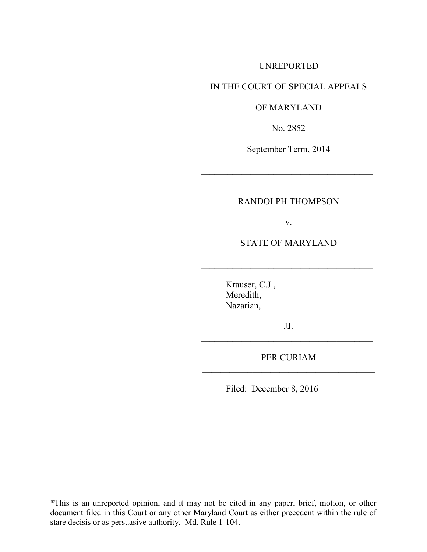## UNREPORTED

## IN THE COURT OF SPECIAL APPEALS

## OF MARYLAND

No. 2852

September Term, 2014

 $\mathcal{L}_\text{max}$  , where  $\mathcal{L}_\text{max}$  , we are the set of  $\mathcal{L}_\text{max}$ 

## RANDOLPH THOMPSON

v.

STATE OF MARYLAND

 $\mathcal{L}_\text{max}$  , where  $\mathcal{L}_\text{max}$  , we are the set of  $\mathcal{L}_\text{max}$ 

Krauser, C.J., Meredith, Nazarian,

JJ.  $\mathcal{L}_\text{max}$  , where  $\mathcal{L}_\text{max}$  , we are the set of  $\mathcal{L}_\text{max}$ 

PER CURIAM \_\_\_\_\_\_\_\_\_\_\_\_\_\_\_\_\_\_\_\_\_\_\_\_\_\_\_\_\_\_\_\_\_\_\_\_\_\_

Filed: December 8, 2016

\*This is an unreported opinion, and it may not be cited in any paper, brief, motion, or other document filed in this Court or any other Maryland Court as either precedent within the rule of stare decisis or as persuasive authority. Md. Rule 1-104.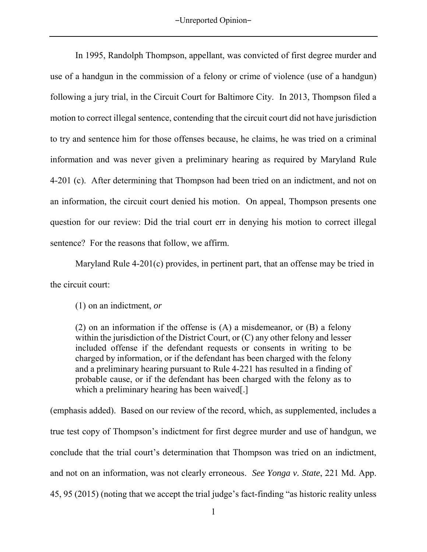In 1995, Randolph Thompson, appellant, was convicted of first degree murder and use of a handgun in the commission of a felony or crime of violence (use of a handgun) following a jury trial, in the Circuit Court for Baltimore City. In 2013, Thompson filed a motion to correct illegal sentence, contending that the circuit court did not have jurisdiction to try and sentence him for those offenses because, he claims, he was tried on a criminal information and was never given a preliminary hearing as required by Maryland Rule 4-201 (c). After determining that Thompson had been tried on an indictment, and not on an information, the circuit court denied his motion. On appeal, Thompson presents one question for our review: Did the trial court err in denying his motion to correct illegal sentence? For the reasons that follow, we affirm.

Maryland Rule 4-201(c) provides, in pertinent part, that an offense may be tried in the circuit court:

(1) on an indictment, *or*

(2) on an information if the offense is (A) a misdemeanor, or (B) a felony within the jurisdiction of the District Court, or  $(C)$  any other felony and lesser included offense if the defendant requests or consents in writing to be charged by information, or if the defendant has been charged with the felony and a preliminary hearing pursuant to [Rule 4-221](https://1.next.westlaw.com/Link/Document/FullText?findType=L&pubNum=1007682&cite=MDRCRR4-221&originatingDoc=NA57685909CEA11DB9BCF9DAC28345A2A&refType=LQ&originationContext=document&transitionType=DocumentItem&contextData=(sc.Category)) has resulted in a finding of probable cause, or if the defendant has been charged with the felony as to which a preliminary hearing has been waived.

(emphasis added). Based on our review of the record, which, as supplemented, includes a true test copy of Thompson's indictment for first degree murder and use of handgun, we conclude that the trial court's determination that Thompson was tried on an indictment, and not on an information, was not clearly erroneous. *See Yonga v. State*, 221 Md. App. 45, 95 (2015) (noting that we accept the trial judge's fact-finding "as historic reality unless